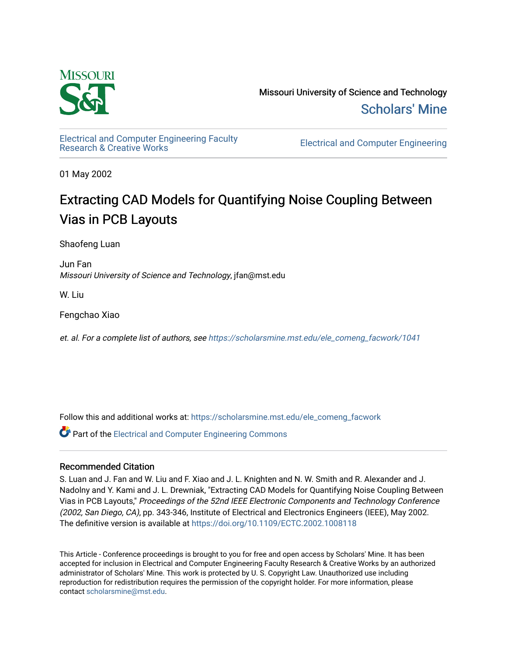

Missouri University of Science and Technology [Scholars' Mine](https://scholarsmine.mst.edu/) 

[Electrical and Computer Engineering Faculty](https://scholarsmine.mst.edu/ele_comeng_facwork)

**Electrical and Computer Engineering** 

01 May 2002

# Extracting CAD Models for Quantifying Noise Coupling Between Vias in PCB Layouts

Shaofeng Luan

Jun Fan Missouri University of Science and Technology, jfan@mst.edu

W. Liu

Fengchao Xiao

et. al. For a complete list of authors, see [https://scholarsmine.mst.edu/ele\\_comeng\\_facwork/1041](https://scholarsmine.mst.edu/ele_comeng_facwork/1041) 

Follow this and additional works at: [https://scholarsmine.mst.edu/ele\\_comeng\\_facwork](https://scholarsmine.mst.edu/ele_comeng_facwork?utm_source=scholarsmine.mst.edu%2Fele_comeng_facwork%2F1041&utm_medium=PDF&utm_campaign=PDFCoverPages)

**P** Part of the Electrical and Computer Engineering Commons

# Recommended Citation

S. Luan and J. Fan and W. Liu and F. Xiao and J. L. Knighten and N. W. Smith and R. Alexander and J. Nadolny and Y. Kami and J. L. Drewniak, "Extracting CAD Models for Quantifying Noise Coupling Between Vias in PCB Layouts," Proceedings of the 52nd IEEE Electronic Components and Technology Conference (2002, San Diego, CA), pp. 343-346, Institute of Electrical and Electronics Engineers (IEEE), May 2002. The definitive version is available at <https://doi.org/10.1109/ECTC.2002.1008118>

This Article - Conference proceedings is brought to you for free and open access by Scholars' Mine. It has been accepted for inclusion in Electrical and Computer Engineering Faculty Research & Creative Works by an authorized administrator of Scholars' Mine. This work is protected by U. S. Copyright Law. Unauthorized use including reproduction for redistribution requires the permission of the copyright holder. For more information, please contact [scholarsmine@mst.edu](mailto:scholarsmine@mst.edu).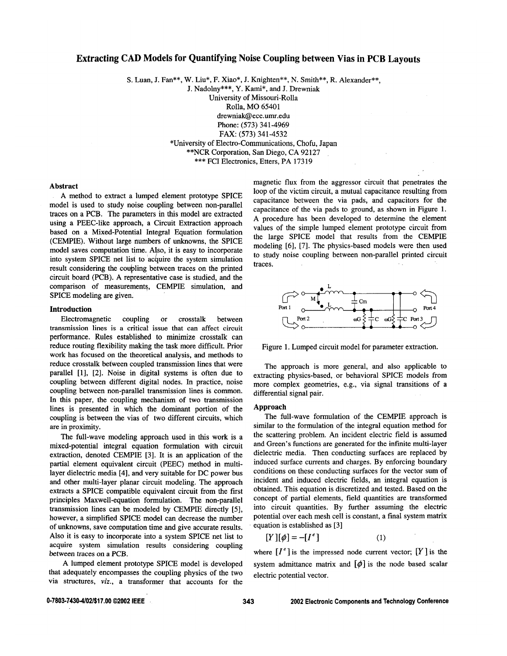# **Extracting CAD Models for Quantifying Noise Coupling between Vias in PCB Lavouts**

S. Luan, J. Fan\*\*, W. Liu\*, F. Xiao\*, J. Knighten\*\*, N. Smith\*\*, R. Alexander\*\*,

J. Nadolny\*\*\*, Y. Kami\*, and J. Drewniak

University of Missouri-Rolla

Rolla, MO 65401

drewniak@ece.umr.edu

Phone: (573) 341-4969

FAX: (573) 341-4532

\*University of Electro-Communications, Chofu, Japan

\*\*NCR Corporation, San Diego, CA 92127

\*\*\* FCI Electronics, Etters, PA 17319

#### **Abstract**

A method to extract a lumped element prototype SPICE model is used to study noise coupling between non-parallel traces on a PCB. The parameters in this model are extracted using a PEEC-like approach, a Circuit Extraction approach based on a Mixed-Potential Integral Equation formulation (CEMPIE). Without large numbers of unknowns, the SPICE model saves computation time. Also, it is easy to incorporate into system SPICE net list to acquire the system simulation result considering the coupling between traces on the printed circuit board (PCB). A representative case is studied, and the comparison of measurements, CEMPIE simulation, and SPICE modeling are given.

#### Introduction

Electromagnetic coupling  $\alpha$ crosstalk hetween transmission lines is a critical issue that can affect circuit performance. Rules established to minimize crosstalk can reduce routing flexibility making the task more difficult. Prior work has focused on the theoretical analysis, and methods to reduce crosstalk between coupled transmission lines that were parallel [1], [2]. Noise in digital systems is often due to coupling between different digital nodes. In practice, noise coupling between non-parallel transmission lines is common. In this paper, the coupling mechanism of two transmission lines is presented in which the dominant portion of the coupling is between the vias of two different circuits, which are in proximity.

The full-wave modeling approach used in this work is a mixed-potential integral equation formulation with circuit extraction, denoted CEMPIE [3]. It is an application of the partial element equivalent circuit (PEEC) method in multilayer dielectric media [4], and very suitable for DC power bus and other multi-layer planar circuit modeling. The approach extracts a SPICE compatible equivalent circuit from the first principles Maxwell-equation formulation. The non-parallel transmission lines can be modeled by CEMPIE directly [5], however, a simplified SPICE model can decrease the number of unknowns, save computation time and give accurate results. Also it is easy to incorporate into a system SPICE net list to acquire system simulation results considering coupling between traces on a PCB.

A lumped element prototype SPICE model is developed that adequately encompasses the coupling physics of the two via structures, viz., a transformer that accounts for the

magnetic flux from the aggressor circuit that penetrates the loop of the victim circuit, a mutual capacitance resulting from capacitance between the via pads, and capacitors for the capacitance of the via pads to ground, as shown in Figure 1. A procedure has been developed to determine the element values of the simple lumped element prototype circuit from the large SPICE model that results from the CEMPIE modeling [6], [7]. The physics-based models were then used to study noise coupling between non-parallel printed circuit traces.



Figure 1. Lumped circuit model for parameter extraction.

The approach is more general, and also applicable to extracting physics-based, or behavioral SPICE models from more complex geometries, e.g., via signal transitions of a differential signal pair.

### **Approach**

The full-wave formulation of the CEMPIE approach is similar to the formulation of the integral equation method for the scattering problem. An incident electric field is assumed and Green's functions are generated for the infinite multi-layer dielectric media. Then conducting surfaces are replaced by induced surface currents and charges. By enforcing boundary conditions on these conducting surfaces for the vector sum of incident and induced electric fields, an integral equation is obtained. This equation is discretized and tested. Based on the concept of partial elements, field quantities are transformed into circuit quantities. By further assuming the electric potential over each mesh cell is constant, a final system matrix equation is established as [3]

$$
[Y][\phi] = -[I^e] \tag{1}
$$

where  $[I^e]$  is the impressed node current vector;  $[Y]$  is the system admittance matrix and  $[\phi]$  is the node based scalar electric potential vector.

0-7803-7430-4/02/\$17.00 @2002 IEEE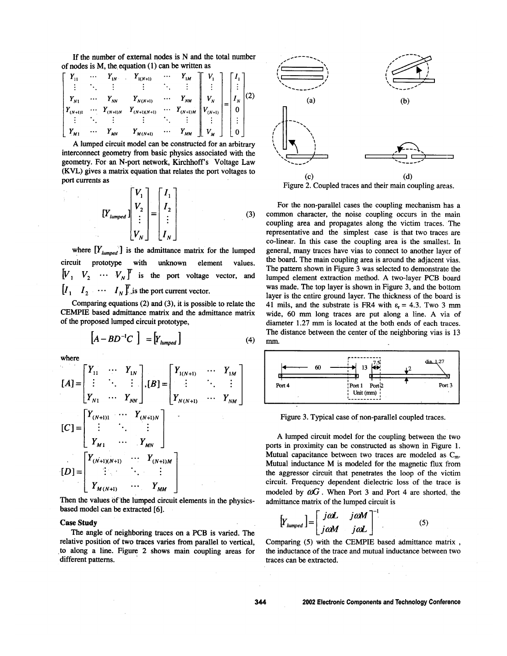If the number of external nodes is N and the total number of nodes is  $M$ , the equation  $(1)$  can be written as

$$
\begin{bmatrix}\nY_{11} & \cdots & Y_{1N} & \cdots & Y_{1(N+1)} & \cdots & Y_{1M} \\
\vdots & \ddots & \vdots & & \vdots & \ddots & \vdots \\
Y_{N1} & \cdots & Y_{NN} & Y_{N(N+1)} & \cdots & Y_{NM} \\
Y_{(N+1)1} & \cdots & Y_{(N+1)N} & Y_{(N+1)(N+1)} & \cdots & Y_{(N+1)M} \\
\vdots & \ddots & \vdots & & \vdots & \ddots & \vdots \\
Y_{M1} & \cdots & Y_{MN} & Y_{M(N+1)} & \cdots & Y_{MM} \\
\end{bmatrix}\n\begin{bmatrix}\nV_{1} \\
\vdots \\
V_{N} \\
\vdots \\
V_{M}\n\end{bmatrix} =\n\begin{bmatrix}\nI_{1} \\
\vdots \\
I_{N} \\
0 \\
\vdots \\
0\n\end{bmatrix}\n(2)
$$

A lumped circuit model can be constructed for an arbitrary interconnect geometry from basic physics associated with the geometry. For an N-port network, Kirchhoff's Voltage Law (KVL) gives a matrix equation that relates the port voltages to port currents as

$$
\begin{bmatrix} Y_1 \\ Y_2 \\ \vdots \\ Y_N \end{bmatrix} = \begin{bmatrix} I_1 \\ I_2 \\ \vdots \\ I_N \end{bmatrix}
$$
 (3)

where  $[Y_{\text{lumped}}]$  is the admittance matrix for the lumped circuit prototype with unknown element values.  $[V_1, V_2, \cdots V_N]^T$  is the port voltage vector, and  $[I_1 \quad I_2 \quad \cdots \quad I_N]$  is the port current vector.

Comparing equations  $(2)$  and  $(3)$ , it is possible to relate the CEMPIE based admittance matrix and the admittance matrix of the proposed lumped circuit prototype,

$$
\left[A - BD^{-1}C\right] = \left[Y_{lumped}\right] \tag{4}
$$

where

$$
[A] = \begin{bmatrix} Y_{11} & \cdots & Y_{1N} \\ \vdots & \ddots & \vdots \\ Y_{N1} & \cdots & Y_{NN} \end{bmatrix}, [B] = \begin{bmatrix} Y_{1(N+1)} & \cdots & Y_{1M} \\ \vdots & \ddots & \vdots \\ Y_{N(N+1)} & \cdots & Y_{NN} \end{bmatrix}
$$
  
\n
$$
[C] = \begin{bmatrix} Y_{(N+1)1} & \cdots & Y_{(N+1)N} \\ \vdots & \ddots & \vdots \\ Y_{M1} & \cdots & Y_{MN} \end{bmatrix}
$$
  
\n
$$
[D] = \begin{bmatrix} Y_{(N+1)(N+1)} & \cdots & Y_{(N+1)M} \\ \vdots & \ddots & \vdots \\ Y_{M(N+1)} & \cdots & Y_{MM} \end{bmatrix}
$$

Then the values of the lumped circuit elements in the physicsbased model can be extracted [6].

#### **Case Study**

The angle of neighboring traces on a PCB is varied. The relative position of two traces varies from parallel to vertical, to along a line. Figure 2 shows main coupling areas for different patterns.



Figure 2. Coupled traces and their main coupling areas.

For the non-parallel cases the coupling mechanism has a common character, the noise coupling occurs in the main coupling area and propagates along the victim traces. The representative and the simplest case is that two traces are co-linear. In this case the coupling area is the smallest. In general, many traces have vias to connect to another layer of the board. The main coupling area is around the adjacent vias. The pattern shown in Figure 3 was selected to demonstrate the lumped element extraction method. A two-layer PCB board was made. The top layer is shown in Figure 3, and the bottom layer is the entire ground layer. The thickness of the board is 41 mils, and the substrate is FR4 with  $\varepsilon_r = 4.3$ . Two 3 mm wide, 60 mm long traces are put along a line. A via of diameter 1.27 mm is located at the both ends of each traces. The distance between the center of the neighboring vias is 13 mm.



Figure 3. Typical case of non-parallel coupled traces.

A lumped circuit model for the coupling between the two ports in proximity can be constructed as shown in Figure 1. Mutual capacitance between two traces are modeled as  $C_m$ . Mutual inductance M is modeled for the magnetic flux from the aggressor circuit that penetrates the loop of the victim circuit. Frequency dependent dielectric loss of the trace is modeled by  $\omega G$ . When Port 3 and Port 4 are shorted, the admittance matrix of the lumped circuit is

$$
\left[Y_{\text{lumped}}\right] = \left[\begin{array}{cc} j\alpha L & j\alpha M \\ j\alpha M & j\alpha L \end{array}\right]^{-1} \tag{5}
$$

Comparing (5) with the CEMPIE based admittance matrix the inductance of the trace and mutual inductance between two traces can be extracted.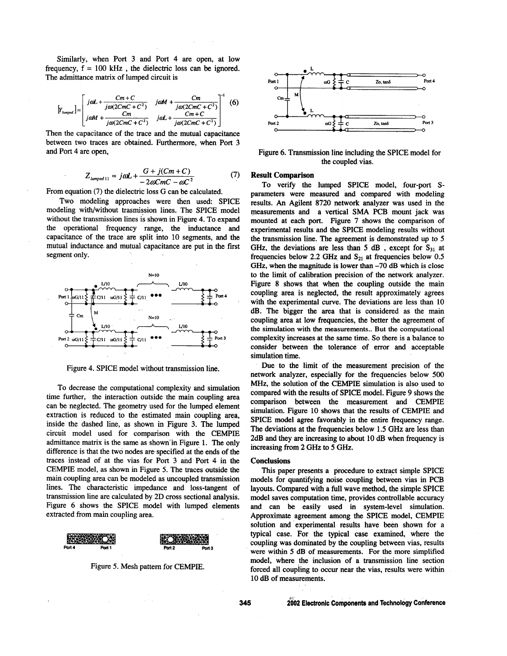Similarly, when Port 3 and Port 4 are open, at low frequency,  $f = 100$  kHz, the dielectric loss can be ignored. The admittance matrix of lumped circuit is

$$
\left[\gamma_{\text{unpred}}\right] = \begin{bmatrix} j\omega L + \frac{Cm + C}{j\omega(2CmC + C^2)} & j\omega M + \frac{Cm}{j\omega(2CmC + C^2)}\\ j\omega M + \frac{Cm}{j\omega(2CmC + C^2)} & j\omega L + \frac{Cm + C}{j\omega(2CmC + C^2)} \end{bmatrix}^{-1} (6)
$$

Then the capacitance of the trace and the mutual capacitance between two traces are obtained. Furthermore, when Port 3 and Port 4 are open,

$$
Z_{\text{lumped 11}} \approx j\omega L + \frac{G + j(Cm + C)}{-2\omega Cm - \omega C^2} \tag{7}
$$

From equation (7) the dielectric loss G can be calculated.

Two modeling approaches were then used: SPICE modeling with/without trasmission lines. The SPICE model without the transmission lines is shown in Figure 4. To expand the operational frequency range, the inductance and capacitance of the trace are split into 10 segments, and the mutual inductance and mutual capacitance are put in the first segment only.



Figure 4. SPICE model without transmission line.

To decrease the computational complexity and simulation time further, the interaction outside the main coupling area can be neglected. The geometry used for the lumped element extraction is reduced to the estimated main coupling area, inside the dashed line, as shown in Figure 3. The lumped circuit model used for comparison with the CEMPIE admittance matrix is the same as shown in Figure 1. The only difference is that the two nodes are specified at the ends of the traces instead of at the vias for Port 3 and Port 4 in the CEMPIE model, as shown in Figure 5. The traces outside the main coupling area can be modeled as uncoupled transmission lines. The characteristic impedance and loss-tangent of transmission line are calculated by 2D cross sectional analysis. Figure 6 shows the SPICE model with lumped elements extracted from main coupling area.



Figure 5. Mesh pattern for CEMPIE.



Figure 6. Transmission line including the SPICE model for the coupled vias.

## **Result Comparison**

To verify the lumped SPICE model, four-port Sparameters were measured and compared with modeling results. An Agilent 8720 network analyzer was used in the measurements and a vertical SMA PCB mount jack was mounted at each port. Figure 7 shows the comparison of experimental results and the SPICE modeling results without the transmission line. The agreement is demonstrated up to 5 GHz, the deviations are less than 5 dB, except for  $S_{31}$  at frequencies below 2.2 GHz and  $S_{21}$  at frequencies below 0.5 GHz, when the magnitude is lower than  $-70$  dB which is close to the limit of calibration precision of the network analyzer. Figure 8 shows that when the coupling outside the main coupling area is neglected, the result approximately agrees with the experimental curve. The deviations are less than 10 dB. The bigger the area that is considered as the main coupling area at low frequencies, the better the agreement of the simulation with the measurements.. But the computational complexity increases at the same time. So there is a balance to consider between the tolerance of error and acceptable simulation time.

Due to the limit of the measurement precision of the network analyzer, especially for the frequencies below 500 MHz, the solution of the CEMPIE simulation is also used to compared with the results of SPICE model. Figure 9 shows the comparison between the measurement and CEMPIE simulation. Figure 10 shows that the results of CEMPIE and SPICE model agree favorably in the entire frequency range. The deviations at the frequencies below 1.5 GHz are less than 2dB and they are increasing to about 10 dB when frequency is increasing from 2 GHz to 5 GHz.

#### **Conclusions**

This paper presents a procedure to extract simple SPICE models for quantifying noise coupling between vias in PCB layouts. Compared with a full wave method, the simple SPICE model saves computation time, provides controllable accuracy and can be easily used in system-level simulation. Approximate agreement among the SPICE model, CEMPIE solution and experimental results have been shown for a typical case. For the typical case examined, where the coupling was dominated by the coupling between vias, results were within 5 dB of measurements. For the more simplified model, where the inclusion of a transmission line section forced all coupling to occur near the vias, results were within 10 dB of measurements.